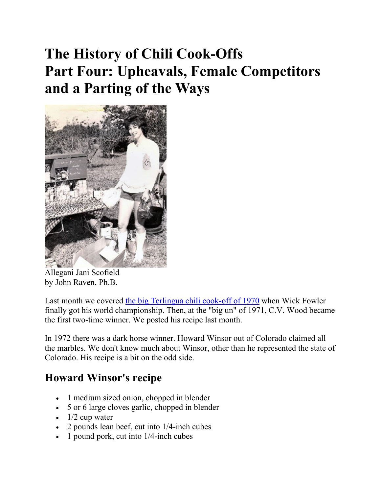# **The History of Chili Cook-Offs Part Four: Upheavals, Female Competitors and a Parting of the Ways**



Allegani Jani Scofield by John Raven, Ph.B.

Last month we covered the big Terlingua chili cook-off of 1970 when Wick Fowler finally got his world championship. Then, at the "big un" of 1971, C.V. Wood became the first two-time winner. We posted his recipe last month.

In 1972 there was a dark horse winner. Howard Winsor out of Colorado claimed all the marbles. We don't know much about Winsor, other than he represented the state of Colorado. His recipe is a bit on the odd side.

## **Howard Winsor's recipe**

- 1 medium sized onion, chopped in blender
- 5 or 6 large cloves garlic, chopped in blender
- $\cdot$  1/2 cup water
- 2 pounds lean beef, cut into 1/4-inch cubes
- 1 pound pork, cut into 1/4-inch cubes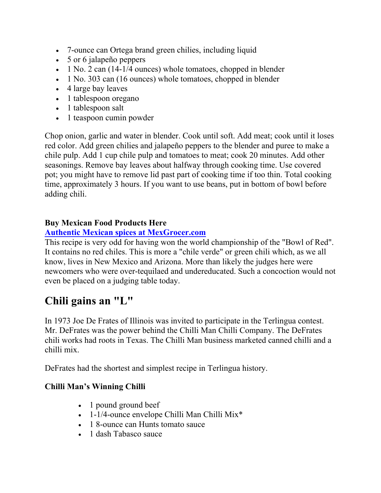- 7-ounce can Ortega brand green chilies, including liquid
- 5 or 6 jalapeño peppers
- $\bullet$  1 No. 2 can (14-1/4 ounces) whole tomatoes, chopped in blender
- 1 No. 303 can (16 ounces) whole tomatoes, chopped in blender
- 4 large bay leaves
- 1 tablespoon oregano
- 1 tablespoon salt
- 1 teaspoon cumin powder

Chop onion, garlic and water in blender. Cook until soft. Add meat; cook until it loses red color. Add green chilies and jalapeño peppers to the blender and puree to make a chile pulp. Add 1 cup chile pulp and tomatoes to meat; cook 20 minutes. Add other seasonings. Remove bay leaves about halfway through cooking time. Use covered pot; you might have to remove lid past part of cooking time if too thin. Total cooking time, approximately 3 hours. If you want to use beans, put in bottom of bowl before adding chili.

### **Buy Mexican Food Products Here**

### **Authentic Mexican spices at MexGrocer.com**

This recipe is very odd for having won the world championship of the "Bowl of Red". It contains no red chiles. This is more a "chile verde" or green chili which, as we all know, lives in New Mexico and Arizona. More than likely the judges here were newcomers who were over-tequilaed and undereducated. Such a concoction would not even be placed on a judging table today.

### **Chili gains an "L"**

In 1973 Joe De Frates of Illinois was invited to participate in the Terlingua contest. Mr. DeFrates was the power behind the Chilli Man Chilli Company. The DeFrates chili works had roots in Texas. The Chilli Man business marketed canned chilli and a chilli mix.

DeFrates had the shortest and simplest recipe in Terlingua history.

### **Chilli Man's Winning Chilli**

- 1 pound ground beef
- 1-1/4-ounce envelope Chilli Man Chilli Mix<sup>\*</sup>
- 1 8-ounce can Hunts tomato sauce
- 1 dash Tabasco sauce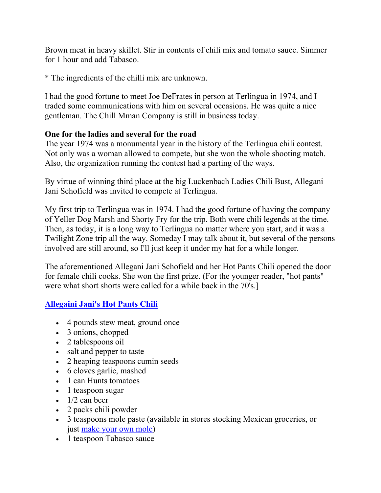Brown meat in heavy skillet. Stir in contents of chili mix and tomato sauce. Simmer for 1 hour and add Tabasco.

\* The ingredients of the chilli mix are unknown.

I had the good fortune to meet Joe DeFrates in person at Terlingua in 1974, and I traded some communications with him on several occasions. He was quite a nice gentleman. The Chill Mman Company is still in business today.

#### **One for the ladies and several for the road**

The year 1974 was a monumental year in the history of the Terlingua chili contest. Not only was a woman allowed to compete, but she won the whole shooting match. Also, the organization running the contest had a parting of the ways.

By virtue of winning third place at the big Luckenbach Ladies Chili Bust, Allegani Jani Schofield was invited to compete at Terlingua.

My first trip to Terlingua was in 1974. I had the good fortune of having the company of Yeller Dog Marsh and Shorty Fry for the trip. Both were chili legends at the time. Then, as today, it is a long way to Terlingua no matter where you start, and it was a Twilight Zone trip all the way. Someday I may talk about it, but several of the persons involved are still around, so I'll just keep it under my hat for a while longer.

The aforementioned Allegani Jani Schofield and her Hot Pants Chili opened the door for female chili cooks. She won the first prize. (For the younger reader, "hot pants" were what short shorts were called for a while back in the 70's.]

### **Allegaini Jani's Hot Pants Chili**

- 4 pounds stew meat, ground once
- 3 onions, chopped
- 2 tablespoons oil
- salt and pepper to taste
- 2 heaping teaspoons cumin seeds
- 6 cloves garlic, mashed
- 1 can Hunts tomatoes
- 1 teaspoon sugar
- $\bullet$  1/2 can beer
- 2 packs chili powder
- 3 teaspoons mole paste (available in stores stocking Mexican groceries, or just make your own mole)
- 1 teaspoon Tabasco sauce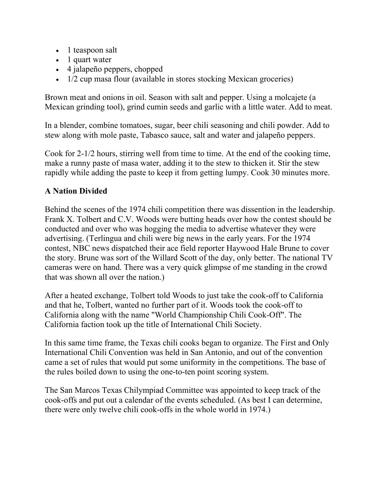- 1 teaspoon salt
- 1 quart water
- 4 jalapeño peppers, chopped
- 1/2 cup masa flour (available in stores stocking Mexican groceries)

Brown meat and onions in oil. Season with salt and pepper. Using a molcajete (a Mexican grinding tool), grind cumin seeds and garlic with a little water. Add to meat.

In a blender, combine tomatoes, sugar, beer chili seasoning and chili powder. Add to stew along with mole paste, Tabasco sauce, salt and water and jalapeño peppers.

Cook for 2-1/2 hours, stirring well from time to time. At the end of the cooking time, make a runny paste of masa water, adding it to the stew to thicken it. Stir the stew rapidly while adding the paste to keep it from getting lumpy. Cook 30 minutes more.

### **A Nation Divided**

Behind the scenes of the 1974 chili competition there was dissention in the leadership. Frank X. Tolbert and C.V. Woods were butting heads over how the contest should be conducted and over who was hogging the media to advertise whatever they were advertising. (Terlingua and chili were big news in the early years. For the 1974 contest, NBC news dispatched their ace field reporter Haywood Hale Brune to cover the story. Brune was sort of the Willard Scott of the day, only better. The national TV cameras were on hand. There was a very quick glimpse of me standing in the crowd that was shown all over the nation.)

After a heated exchange, Tolbert told Woods to just take the cook-off to California and that he, Tolbert, wanted no further part of it. Woods took the cook-off to California along with the name "World Championship Chili Cook-Off". The California faction took up the title of International Chili Society.

In this same time frame, the Texas chili cooks began to organize. The First and Only International Chili Convention was held in San Antonio, and out of the convention came a set of rules that would put some uniformity in the competitions. The base of the rules boiled down to using the one-to-ten point scoring system.

The San Marcos Texas Chilympiad Committee was appointed to keep track of the cook-offs and put out a calendar of the events scheduled. (As best I can determine, there were only twelve chili cook-offs in the whole world in 1974.)